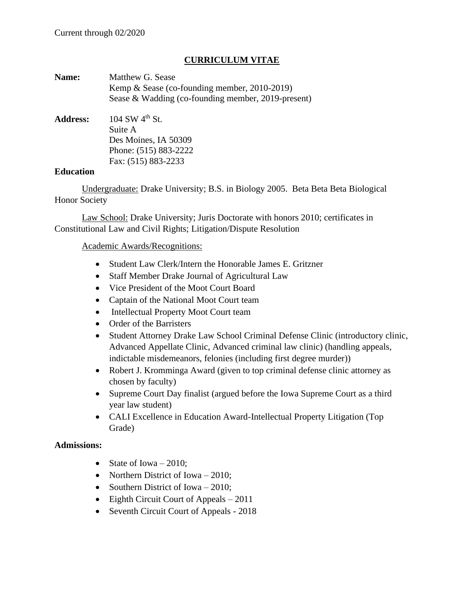### **CURRICULUM VITAE**

| Name:           | Matthew G. Sease                                   |
|-----------------|----------------------------------------------------|
|                 | Kemp & Sease (co-founding member, 2010-2019)       |
|                 | Sease & Wadding (co-founding member, 2019-present) |
| <b>Address:</b> | 104 SW $4^{th}$ St.                                |
|                 | Suite A                                            |
|                 | Des Moines, IA 50309                               |
|                 | Phone: (515) 883-2222                              |
|                 | Fax: (515) 883-2233                                |
|                 |                                                    |

#### **Education**

Undergraduate: Drake University; B.S. in Biology 2005. Beta Beta Beta Biological Honor Society

Law School: Drake University; Juris Doctorate with honors 2010; certificates in Constitutional Law and Civil Rights; Litigation/Dispute Resolution

### Academic Awards/Recognitions:

- Student Law Clerk/Intern the Honorable James E. Gritzner
- Staff Member Drake Journal of Agricultural Law
- Vice President of the Moot Court Board
- Captain of the National Moot Court team
- Intellectual Property Moot Court team
- Order of the Barristers
- Student Attorney Drake Law School Criminal Defense Clinic (introductory clinic, Advanced Appellate Clinic, Advanced criminal law clinic) (handling appeals, indictable misdemeanors, felonies (including first degree murder))
- Robert J. Kromminga Award (given to top criminal defense clinic attorney as chosen by faculty)
- Supreme Court Day finalist (argued before the Iowa Supreme Court as a third year law student)
- CALI Excellence in Education Award-Intellectual Property Litigation (Top) Grade)

### **Admissions:**

- State of Iowa  $-2010$ :
- Northern District of Iowa 2010;
- Southern District of Iowa 2010;
- Eighth Circuit Court of Appeals 2011
- Seventh Circuit Court of Appeals 2018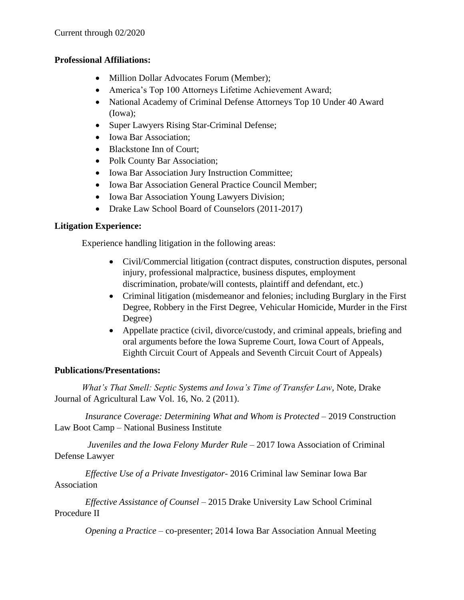### **Professional Affiliations:**

- Million Dollar Advocates Forum (Member);
- America's Top 100 Attorneys Lifetime Achievement Award;
- National Academy of Criminal Defense Attorneys Top 10 Under 40 Award (Iowa);
- Super Lawyers Rising Star-Criminal Defense;
- Iowa Bar Association;
- Blackstone Inn of Court;
- Polk County Bar Association;
- Iowa Bar Association Jury Instruction Committee;
- Iowa Bar Association General Practice Council Member;
- Iowa Bar Association Young Lawyers Division;
- Drake Law School Board of Counselors (2011-2017)

## **Litigation Experience:**

Experience handling litigation in the following areas:

- Civil/Commercial litigation (contract disputes, construction disputes, personal injury, professional malpractice, business disputes, employment discrimination, probate/will contests, plaintiff and defendant, etc.)
- Criminal litigation (misdemeanor and felonies; including Burglary in the First Degree, Robbery in the First Degree, Vehicular Homicide, Murder in the First Degree)
- Appellate practice (civil, divorce/custody, and criminal appeals, briefing and oral arguments before the Iowa Supreme Court, Iowa Court of Appeals, Eighth Circuit Court of Appeals and Seventh Circuit Court of Appeals)

## **Publications/Presentations:**

*What's That Smell: Septic Systems and Iowa's Time of Transfer Law*, Note, Drake Journal of Agricultural Law Vol. 16, No. 2 (2011).

*Insurance Coverage: Determining What and Whom is Protected* – 2019 Construction Law Boot Camp – National Business Institute

*Juveniles and the Iowa Felony Murder Rule* – 2017 Iowa Association of Criminal Defense Lawyer

*Effective Use of a Private Investigator*- 2016 Criminal law Seminar Iowa Bar Association

*Effective Assistance of Counsel* – 2015 Drake University Law School Criminal Procedure II

*Opening a Practice* – co-presenter; 2014 Iowa Bar Association Annual Meeting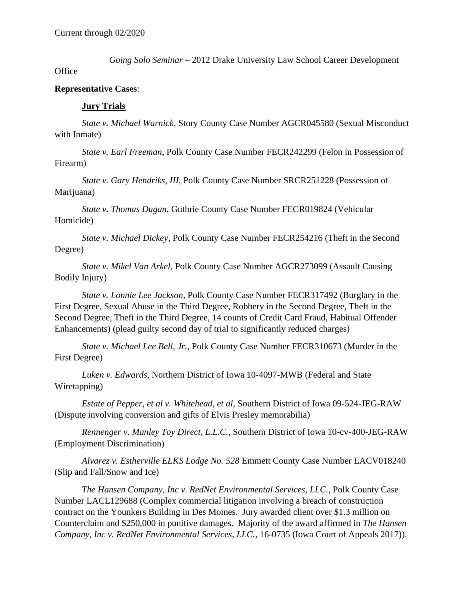*Going Solo Seminar* – 2012 Drake University Law School Career Development

**Office** 

#### **Representative Cases**:

#### **Jury Trials**

*State v. Michael Warnick*, Story County Case Number AGCR045580 (Sexual Misconduct with Inmate)

*State v. Earl Freeman*, Polk County Case Number FECR242299 (Felon in Possession of Firearm)

*State v. Gary Hendriks, III*, Polk County Case Number SRCR251228 (Possession of Marijuana)

*State v. Thomas Dugan*, Guthrie County Case Number FECR019824 (Vehicular Homicide)

*State v. Michael Dickey*, Polk County Case Number FECR254216 (Theft in the Second Degree)

*State v. Mikel Van Arkel*, Polk County Case Number AGCR273099 (Assault Causing Bodily Injury)

*State v. Lonnie Lee Jackson*, Polk County Case Number FECR317492 (Burglary in the First Degree, Sexual Abuse in the Third Degree, Robbery in the Second Degree, Theft in the Second Degree, Theft in the Third Degree, 14 counts of Credit Card Fraud, Habitual Offender Enhancements) (plead guilty second day of trial to significantly reduced charges)

*State v. Michael Lee Bell, Jr.*, Polk County Case Number FECR310673 (Murder in the First Degree)

*Luken v. Edwards*, Northern District of Iowa 10-4097-MWB (Federal and State Wiretapping)

*Estate of Pepper, et al v. Whitehead, et al*, Southern District of Iowa 09-524-JEG-RAW (Dispute involving conversion and gifts of Elvis Presley memorabilia)

*Rennenger v. Manley Toy Direct, L.L.C.*, Southern District of Iowa 10-cv-400-JEG-RAW (Employment Discrimination)

*Alvarez v. Estherville ELKS Lodge No. 528* Emmett County Case Number LACV018240 (Slip and Fall/Snow and Ice)

*The Hansen Company, Inc v. RedNet Environmental Services, LLC.*, Polk County Case Number LACL129688 (Complex commercial litigation involving a breach of construction contract on the Younkers Building in Des Moines. Jury awarded client over \$1.3 million on Counterclaim and \$250,000 in punitive damages. Majority of the award affirmed in *The Hansen Company, Inc v. RedNet Environmental Services, LLC.*, 16-0735 (Iowa Court of Appeals 2017)).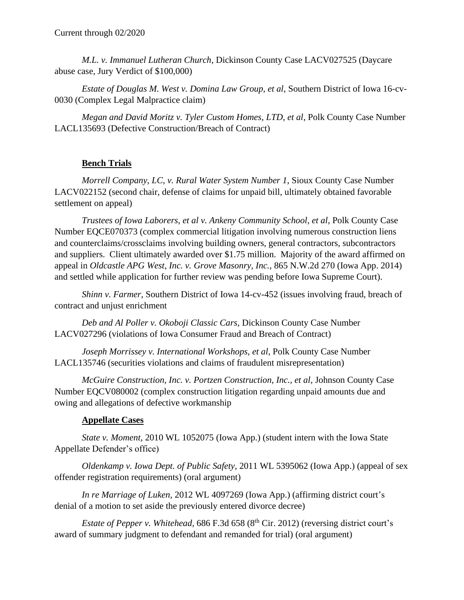*M.L. v. Immanuel Lutheran Church*, Dickinson County Case LACV027525 (Daycare abuse case, Jury Verdict of \$100,000)

*Estate of Douglas M. West v. Domina Law Group, et al*, Southern District of Iowa 16-cv-0030 (Complex Legal Malpractice claim)

*Megan and David Moritz v. Tyler Custom Homes, LTD, et al*, Polk County Case Number LACL135693 (Defective Construction/Breach of Contract)

# **Bench Trials**

*Morrell Company, LC, v. Rural Water System Number 1*, Sioux County Case Number LACV022152 (second chair, defense of claims for unpaid bill, ultimately obtained favorable settlement on appeal)

*Trustees of Iowa Laborers, et al v. Ankeny Community School, et al*, Polk County Case Number EQCE070373 (complex commercial litigation involving numerous construction liens and counterclaims/crossclaims involving building owners, general contractors, subcontractors and suppliers. Client ultimately awarded over \$1.75 million. Majority of the award affirmed on appeal in *Oldcastle APG West, Inc. v. Grove Masonry, Inc.*, 865 N.W.2d 270 (Iowa App. 2014) and settled while application for further review was pending before Iowa Supreme Court).

*Shinn v. Farmer*, Southern District of Iowa 14-cv-452 (issues involving fraud, breach of contract and unjust enrichment

*Deb and Al Poller v. Okoboji Classic Cars*, Dickinson County Case Number LACV027296 (violations of Iowa Consumer Fraud and Breach of Contract)

*Joseph Morrissey v. International Workshops, et al*, Polk County Case Number LACL135746 (securities violations and claims of fraudulent misrepresentation)

*McGuire Construction, Inc. v. Portzen Construction, Inc., et al*, Johnson County Case Number EQCV080002 (complex construction litigation regarding unpaid amounts due and owing and allegations of defective workmanship

## **Appellate Cases**

*State v. Moment*, 2010 WL 1052075 (Iowa App.) (student intern with the Iowa State Appellate Defender's office)

*Oldenkamp v. Iowa Dept. of Public Safety*, 2011 WL 5395062 (Iowa App.) (appeal of sex offender registration requirements) (oral argument)

*In re Marriage of Luken*, 2012 WL 4097269 (Iowa App.) (affirming district court's denial of a motion to set aside the previously entered divorce decree)

*Estate of Pepper v. Whitehead,* 686 F.3d 658 (8<sup>th</sup> Cir. 2012) (reversing district court's award of summary judgment to defendant and remanded for trial) (oral argument)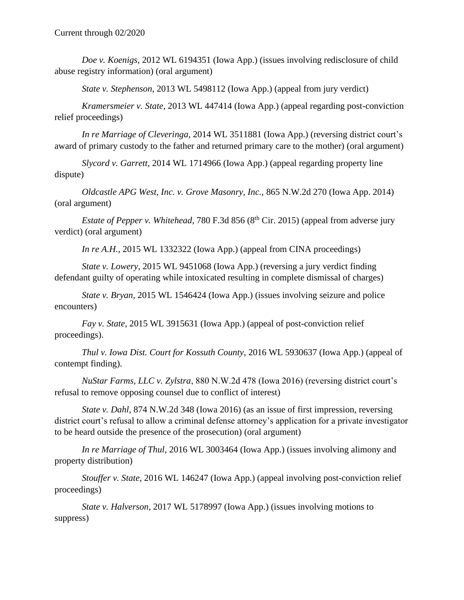*Doe v. Koenigs*, 2012 WL 6194351 (Iowa App.) (issues involving redisclosure of child abuse registry information) (oral argument)

*State v. Stephenson*, 2013 WL 5498112 (Iowa App.) (appeal from jury verdict)

*Kramersmeier v. State*, 2013 WL 447414 (Iowa App.) (appeal regarding post-conviction relief proceedings)

*In re Marriage of Cleveringa*, 2014 WL 3511881 (Iowa App.) (reversing district court's award of primary custody to the father and returned primary care to the mother) (oral argument)

*Slycord v. Garrett*, 2014 WL 1714966 (Iowa App.) (appeal regarding property line dispute)

*Oldcastle APG West, Inc. v. Grove Masonry, Inc.*, 865 N.W.2d 270 (Iowa App. 2014) (oral argument)

*Estate of Pepper v. Whitehead*, 780 F.3d 856 (8<sup>th</sup> Cir. 2015) (appeal from adverse jury verdict) (oral argument)

*In re A.H.*, 2015 WL 1332322 (Iowa App.) (appeal from CINA proceedings)

*State v. Lowery*, 2015 WL 9451068 (Iowa App.) (reversing a jury verdict finding defendant guilty of operating while intoxicated resulting in complete dismissal of charges)

*State v. Bryan*, 2015 WL 1546424 (Iowa App.) (issues involving seizure and police encounters)

*Fay v. State*, 2015 WL 3915631 (Iowa App.) (appeal of post-conviction relief proceedings).

*Thul v. Iowa Dist. Court for Kossuth County*, 2016 WL 5930637 (Iowa App.) (appeal of contempt finding).

*NuStar Farms, LLC v. Zylstra*, 880 N.W.2d 478 (Iowa 2016) (reversing district court's refusal to remove opposing counsel due to conflict of interest)

*State v. Dahl*, 874 N.W.2d 348 (Iowa 2016) (as an issue of first impression, reversing district court's refusal to allow a criminal defense attorney's application for a private investigator to be heard outside the presence of the prosecution) (oral argument)

*In re Marriage of Thul*, 2016 WL 3003464 (Iowa App.) (issues involving alimony and property distribution)

*Stouffer v. State*, 2016 WL 146247 (Iowa App.) (appeal involving post-conviction relief proceedings)

*State v. Halverson*, 2017 WL 5178997 (Iowa App.) (issues involving motions to suppress)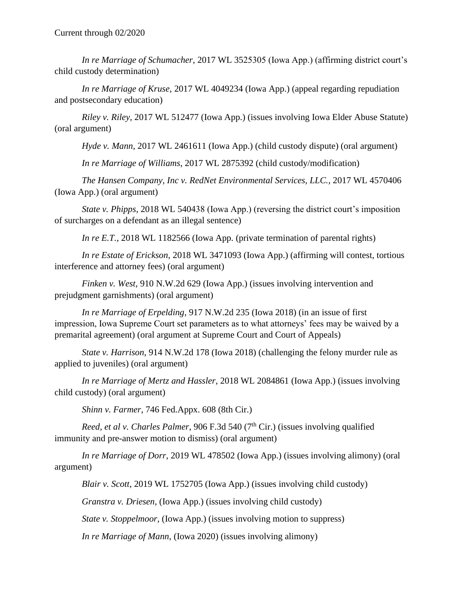*In re Marriage of Schumacher*, 2017 WL 3525305 (Iowa App.) (affirming district court's child custody determination)

*In re Marriage of Kruse*, 2017 WL 4049234 (Iowa App.) (appeal regarding repudiation and postsecondary education)

*Riley v. Riley*, 2017 WL 512477 (Iowa App.) (issues involving Iowa Elder Abuse Statute) (oral argument)

*Hyde v. Mann*, 2017 WL 2461611 (Iowa App.) (child custody dispute) (oral argument)

*In re Marriage of Williams*, 2017 WL 2875392 (child custody/modification)

*The Hansen Company, Inc v. RedNet Environmental Services, LLC.*, 2017 WL 4570406 (Iowa App.) (oral argument)

*State v. Phipps*, 2018 WL 540438 (Iowa App.) (reversing the district court's imposition of surcharges on a defendant as an illegal sentence)

*In re E.T.*, 2018 WL 1182566 (Iowa App. (private termination of parental rights)

*In re Estate of Erickson*, 2018 WL 3471093 (Iowa App.) (affirming will contest, tortious interference and attorney fees) (oral argument)

*Finken v. West*, 910 N.W.2d 629 (Iowa App.) (issues involving intervention and prejudgment garnishments) (oral argument)

*In re Marriage of Erpelding*, 917 N.W.2d 235 (Iowa 2018) (in an issue of first impression, Iowa Supreme Court set parameters as to what attorneys' fees may be waived by a premarital agreement) (oral argument at Supreme Court and Court of Appeals)

*State v. Harrison*, 914 N.W.2d 178 (Iowa 2018) (challenging the felony murder rule as applied to juveniles) (oral argument)

*In re Marriage of Mertz and Hassler*, 2018 WL 2084861 (Iowa App.) (issues involving child custody) (oral argument)

*Shinn v. Farmer*, 746 Fed.Appx. 608 (8th Cir.)

*Reed, et al v. Charles Palmer*, 906 F.3d 540 (7<sup>th</sup> Cir.) (issues involving qualified immunity and pre-answer motion to dismiss) (oral argument)

*In re Marriage of Dorr*, 2019 WL 478502 (Iowa App.) (issues involving alimony) (oral argument)

*Blair v. Scott*, 2019 WL 1752705 (Iowa App.) (issues involving child custody)

*Granstra v. Driesen*, (Iowa App.) (issues involving child custody)

*State v. Stoppelmoor*, (Iowa App.) (issues involving motion to suppress)

*In re Marriage of Mann*, (Iowa 2020) (issues involving alimony)